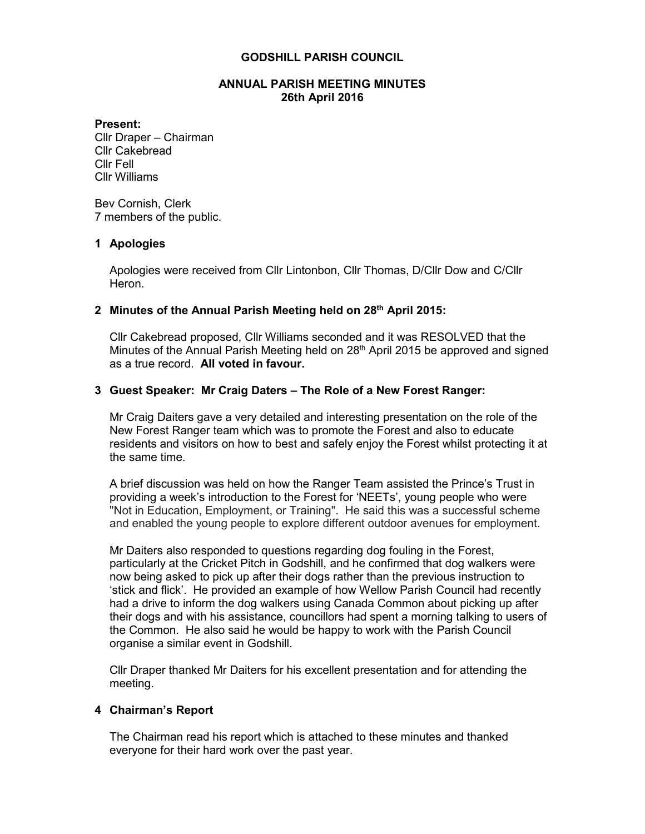#### **GODSHILL PARISH COUNCIL**

### **ANNUAL PARISH MEETING MINUTES 26th April 2016**

#### **Present:**

Cllr Draper – Chairman Cllr Cakebread Cllr Fell Cllr Williams

Bev Cornish, Clerk 7 members of the public.

#### **1 Apologies**

Apologies were received from Cllr Lintonbon, Cllr Thomas, D/Cllr Dow and C/Cllr Heron.

## **2 Minutes of the Annual Parish Meeting held on 28 th April 2015:**

Cllr Cakebread proposed, Cllr Williams seconded and it was RESOLVED that the Minutes of the Annual Parish Meeting held on 28<sup>th</sup> April 2015 be approved and signed as a true record. **All voted in favour.**

## **3 Guest Speaker: Mr Craig Daters – The Role of a New Forest Ranger:**

Mr Craig Daiters gave a very detailed and interesting presentation on the role of the New Forest Ranger team which was to promote the Forest and also to educate residents and visitors on how to best and safely enjoy the Forest whilst protecting it at the same time.

A brief discussion was held on how the Ranger Team assisted the Prince's Trust in providing a week's introduction to the Forest for 'NEETs', young people who were "Not in Education, Employment, or Training". He said this was a successful scheme and enabled the young people to explore different outdoor avenues for employment.

Mr Daiters also responded to questions regarding dog fouling in the Forest, particularly at the Cricket Pitch in Godshill, and he confirmed that dog walkers were now being asked to pick up after their dogs rather than the previous instruction to 'stick and flick'. He provided an example of how Wellow Parish Council had recently had a drive to inform the dog walkers using Canada Common about picking up after their dogs and with his assistance, councillors had spent a morning talking to users of the Common. He also said he would be happy to work with the Parish Council organise a similar event in Godshill.

Cllr Draper thanked Mr Daiters for his excellent presentation and for attending the meeting.

## **4 Chairman's Report**

The Chairman read his report which is attached to these minutes and thanked everyone for their hard work over the past year.